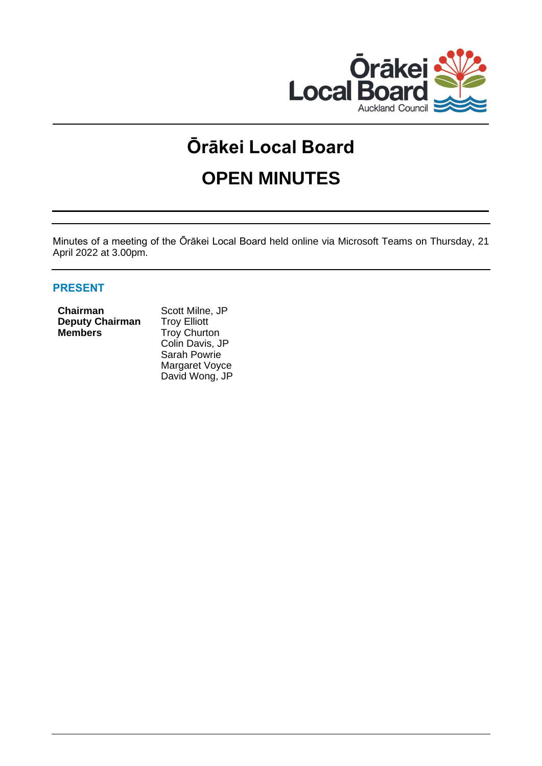

# **Ōrākei Local Board OPEN MINUTES**

Minutes of a meeting of the Ōrākei Local Board held online via Microsoft Teams on Thursday, 21 April 2022 at 3.00pm.

# **PRESENT**

| <b>Chairman</b>        |  |
|------------------------|--|
| <b>Deputy Chairman</b> |  |
| Members                |  |

Scott Milne, JP **Troy Elliott Members** Troy Churton Colin Davis, JP Sarah Powrie Margaret Voyce David Wong, JP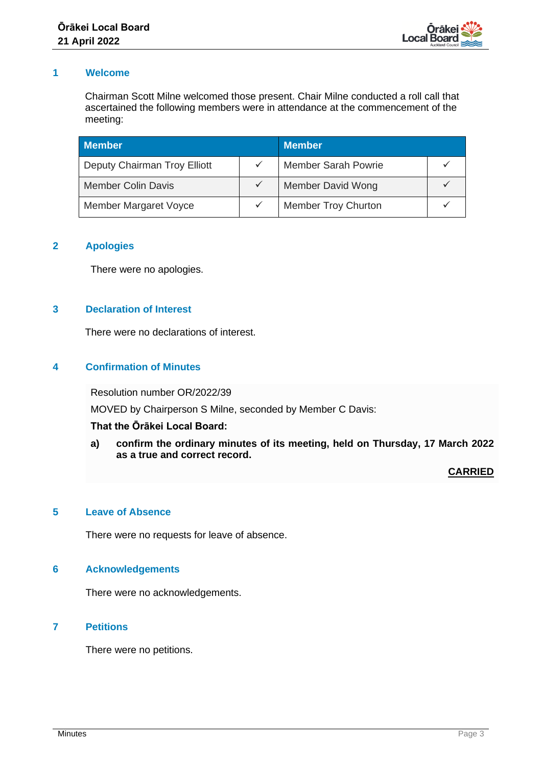

# **1 Welcome**

Chairman Scott Milne welcomed those present. Chair Milne conducted a roll call that ascertained the following members were in attendance at the commencement of the meeting:

| <b>Member</b>                |  | <b>Member</b>              |  |
|------------------------------|--|----------------------------|--|
| Deputy Chairman Troy Elliott |  | <b>Member Sarah Powrie</b> |  |
| <b>Member Colin Davis</b>    |  | <b>Member David Wong</b>   |  |
| <b>Member Margaret Voyce</b> |  | <b>Member Troy Churton</b> |  |

# **2 Apologies**

There were no apologies.

# **3 Declaration of Interest**

There were no declarations of interest.

# **4 Confirmation of Minutes**

Resolution number OR/2022/39

MOVED by Chairperson S Milne, seconded by Member C Davis:

# **That the Ōrākei Local Board:**

**a) confirm the ordinary minutes of its meeting, held on Thursday, 17 March 2022 as a true and correct record.**

# **CARRIED**

# **5 Leave of Absence**

There were no requests for leave of absence.

#### **6 Acknowledgements**

There were no acknowledgements.

# **7 Petitions**

There were no petitions.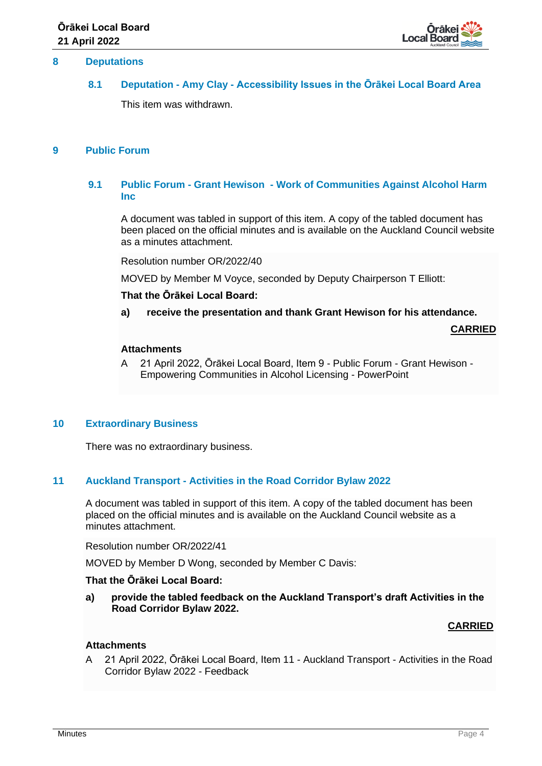

#### **8 Deputations**

# **8.1 Deputation - Amy Clay - Accessibility Issues in the Ōrākei Local Board Area**

This item was withdrawn.

# **9 Public Forum**

# **9.1 Public Forum - Grant Hewison - Work of Communities Against Alcohol Harm Inc**

A document was tabled in support of this item. A copy of the tabled document has been placed on the official minutes and is available on the Auckland Council website as a minutes attachment.

Resolution number OR/2022/40

MOVED by Member M Voyce, seconded by Deputy Chairperson T Elliott:

## **That the Ōrākei Local Board:**

**a) receive the presentation and thank Grant Hewison for his attendance.**

**CARRIED**

#### **Attachments**

A 21 April 2022, Ōrākei Local Board, Item 9 - Public Forum - Grant Hewison - Empowering Communities in Alcohol Licensing - PowerPoint

#### **10 Extraordinary Business**

There was no extraordinary business.

# **11 Auckland Transport - Activities in the Road Corridor Bylaw 2022**

A document was tabled in support of this item. A copy of the tabled document has been placed on the official minutes and is available on the Auckland Council website as a minutes attachment.

Resolution number OR/2022/41

MOVED by Member D Wong, seconded by Member C Davis:

#### **That the Ōrākei Local Board:**

**a) provide the tabled feedback on the Auckland Transport's draft Activities in the Road Corridor Bylaw 2022.**

#### **CARRIED**

#### **Attachments**

A 21 April 2022, Ōrākei Local Board, Item 11 - Auckland Transport - Activities in the Road Corridor Bylaw 2022 - Feedback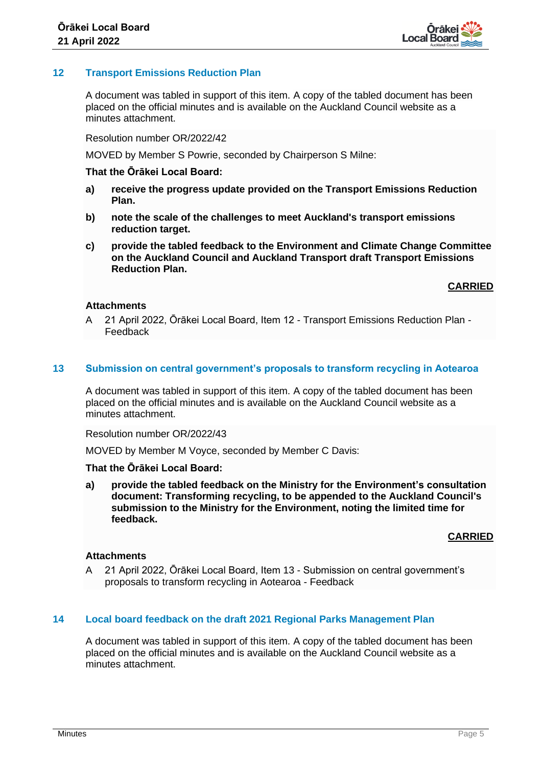

# **12 Transport Emissions Reduction Plan**

A document was tabled in support of this item. A copy of the tabled document has been placed on the official minutes and is available on the Auckland Council website as a minutes attachment.

Resolution number OR/2022/42

MOVED by Member S Powrie, seconded by Chairperson S Milne:

#### **That the Ōrākei Local Board:**

- **a) receive the progress update provided on the Transport Emissions Reduction Plan.**
- **b) note the scale of the challenges to meet Auckland's transport emissions reduction target.**
- **c) provide the tabled feedback to the Environment and Climate Change Committee on the Auckland Council and Auckland Transport draft Transport Emissions Reduction Plan.**

**CARRIED**

#### **Attachments**

A 21 April 2022, Ōrākei Local Board, Item 12 - Transport Emissions Reduction Plan - Feedback

#### **13 Submission on central government's proposals to transform recycling in Aotearoa**

A document was tabled in support of this item. A copy of the tabled document has been placed on the official minutes and is available on the Auckland Council website as a minutes attachment.

Resolution number OR/2022/43

MOVED by Member M Voyce, seconded by Member C Davis:

#### **That the Ōrākei Local Board:**

**a) provide the tabled feedback on the Ministry for the Environment's consultation document: Transforming recycling, to be appended to the Auckland Council's submission to the Ministry for the Environment, noting the limited time for feedback.**

# **CARRIED**

# **Attachments**

A 21 April 2022, Ōrākei Local Board, Item 13 - Submission on central government's proposals to transform recycling in Aotearoa - Feedback

#### **14 Local board feedback on the draft 2021 Regional Parks Management Plan**

A document was tabled in support of this item. A copy of the tabled document has been placed on the official minutes and is available on the Auckland Council website as a minutes attachment.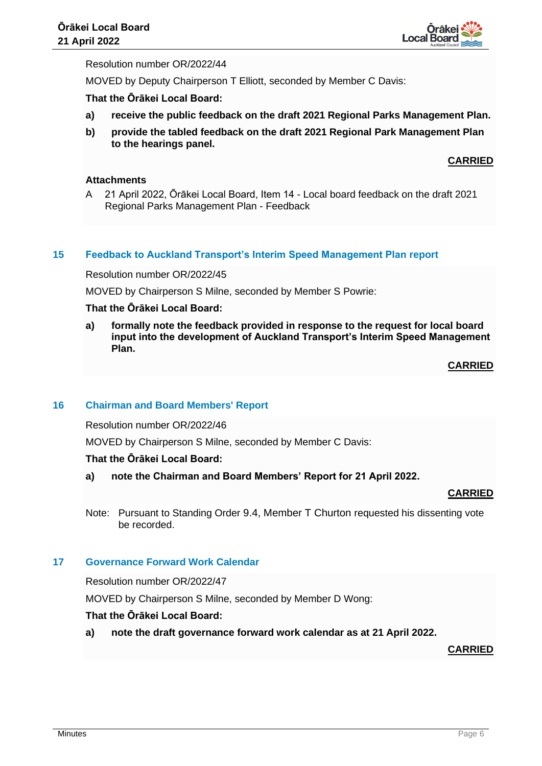

# Resolution number OR/2022/44

MOVED by Deputy Chairperson T Elliott, seconded by Member C Davis:

# **That the Ōrākei Local Board:**

- **a) receive the public feedback on the draft 2021 Regional Parks Management Plan.**
- **b) provide the tabled feedback on the draft 2021 Regional Park Management Plan to the hearings panel.**

# **CARRIED**

# **Attachments**

A 21 April 2022, Ōrākei Local Board, Item 14 - Local board feedback on the draft 2021 Regional Parks Management Plan - Feedback

#### **15 Feedback to Auckland Transport's Interim Speed Management Plan report**

Resolution number OR/2022/45

MOVED by Chairperson S Milne, seconded by Member S Powrie:

# **That the Ōrākei Local Board:**

**a) formally note the feedback provided in response to the request for local board input into the development of Auckland Transport's Interim Speed Management Plan.** 

**CARRIED**

#### **16 Chairman and Board Members' Report**

Resolution number OR/2022/46

MOVED by Chairperson S Milne, seconded by Member C Davis:

#### **That the Ōrākei Local Board:**

**a) note the Chairman and Board Members' Report for 21 April 2022.**

# **CARRIED**

Note: Pursuant to Standing Order 9.4, Member T Churton requested his dissenting vote be recorded.

#### **17 Governance Forward Work Calendar**

Resolution number OR/2022/47

MOVED by Chairperson S Milne, seconded by Member D Wong:

# **That the Ōrākei Local Board:**

**a) note the draft governance forward work calendar as at 21 April 2022.**

**CARRIED**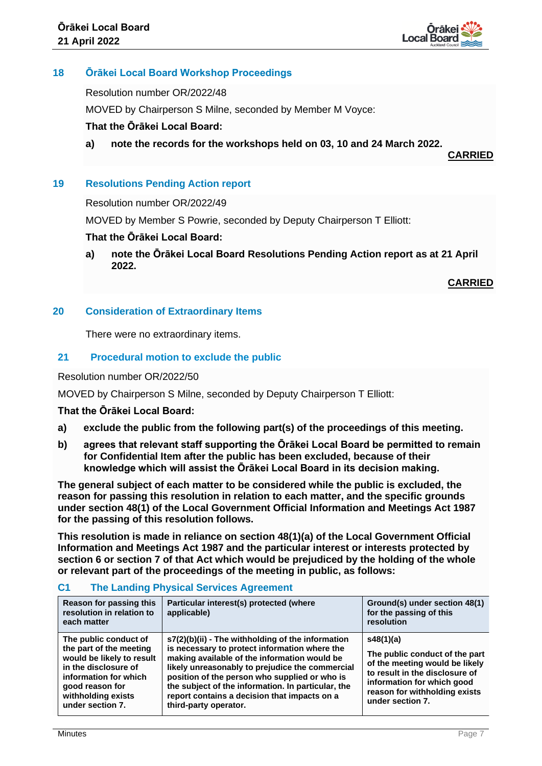

# **18 Ōrākei Local Board Workshop Proceedings**

Resolution number OR/2022/48

MOVED by Chairperson S Milne, seconded by Member M Voyce:

# **That the Ōrākei Local Board:**

**a) note the records for the workshops held on 03, 10 and 24 March 2022.**

**CARRIED**

# **19 Resolutions Pending Action report**

#### Resolution number OR/2022/49

MOVED by Member S Powrie, seconded by Deputy Chairperson T Elliott:

# **That the Ōrākei Local Board:**

**a) note the Ōrākei Local Board Resolutions Pending Action report as at 21 April 2022.**

**CARRIED**

# **20 Consideration of Extraordinary Items**

There were no extraordinary items.

# **21 Procedural motion to exclude the public**

#### Resolution number OR/2022/50

MOVED by Chairperson S Milne, seconded by Deputy Chairperson T Elliott:

# **That the Ōrākei Local Board:**

- **a) exclude the public from the following part(s) of the proceedings of this meeting.**
- **b) agrees that relevant staff supporting the Ōrākei Local Board be permitted to remain for Confidential Item after the public has been excluded, because of their knowledge which will assist the Ōrākei Local Board in its decision making.**

**The general subject of each matter to be considered while the public is excluded, the reason for passing this resolution in relation to each matter, and the specific grounds under section 48(1) of the Local Government Official Information and Meetings Act 1987 for the passing of this resolution follows.**

**This resolution is made in reliance on section 48(1)(a) of the Local Government Official Information and Meetings Act 1987 and the particular interest or interests protected by section 6 or section 7 of that Act which would be prejudiced by the holding of the whole or relevant part of the proceedings of the meeting in public, as follows:**

| Reason for passing this<br>resolution in relation to<br>each matter                                                                                                                         | Particular interest(s) protected (where<br>applicable)                                                                                                                                                                                                                                                                                                                                | Ground(s) under section 48(1)<br>for the passing of this<br>resolution                                                                                                                             |
|---------------------------------------------------------------------------------------------------------------------------------------------------------------------------------------------|---------------------------------------------------------------------------------------------------------------------------------------------------------------------------------------------------------------------------------------------------------------------------------------------------------------------------------------------------------------------------------------|----------------------------------------------------------------------------------------------------------------------------------------------------------------------------------------------------|
| The public conduct of<br>the part of the meeting<br>would be likely to result<br>in the disclosure of<br>information for which<br>good reason for<br>withholding exists<br>under section 7. | s7(2)(b)(ii) - The withholding of the information<br>is necessary to protect information where the<br>making available of the information would be<br>likely unreasonably to prejudice the commercial<br>position of the person who supplied or who is<br>the subject of the information. In particular, the<br>report contains a decision that impacts on a<br>third-party operator. | s48(1)(a)<br>The public conduct of the part<br>of the meeting would be likely<br>to result in the disclosure of<br>information for which good<br>reason for withholding exists<br>under section 7. |

# **C1 The Landing Physical Services Agreement**